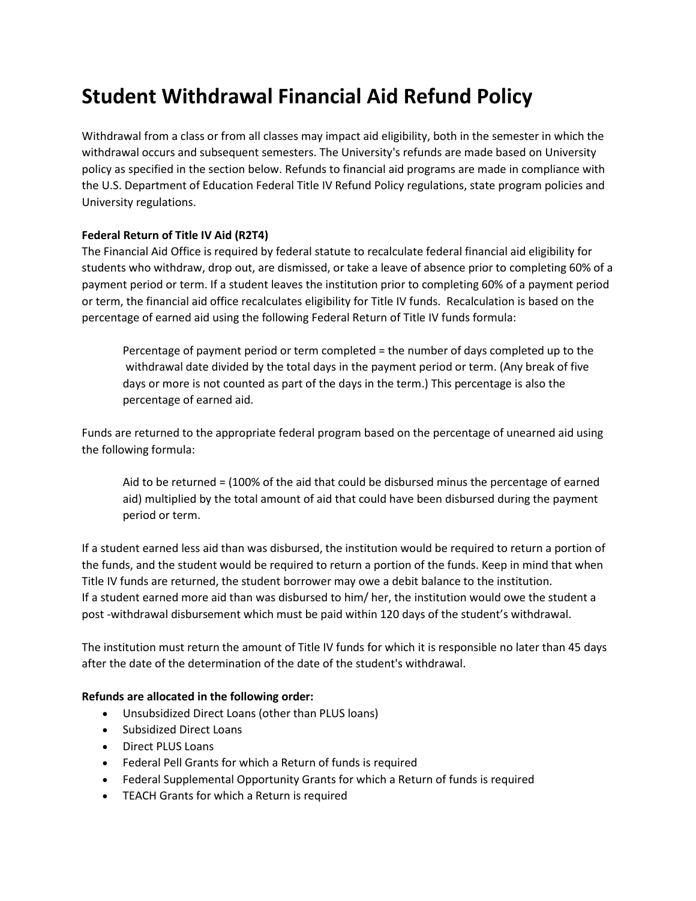## **Student Withdrawal Financial Aid Refund Policy**

Withdrawal from a class or from all classes may impact aid eligibility, both in the semester in which the withdrawal occurs and subsequent semesters. The University's refunds are made based on University policy as specified in the section below. Refunds to financial aid programs are made in compliance with the U.S. Department of Education Federal Title IV Refund Policy regulations, state program policies and University regulations.

## **Federal Return of Title IV Aid (R2T4)**

The Financial Aid Office is required by federal statute to recalculate federal financial aid eligibility for students who withdraw, drop out, are dismissed, or take a leave of absence prior to completing 60% of a payment period or term. If a student leaves the institution prior to completing 60% of a payment period or term, the financial aid office recalculates eligibility for Title IV funds. Recalculation is based on the percentage of earned aid using the following Federal Return of Title IV funds formula:

Percentage of payment period or term completed = the number of days completed up to the withdrawal date divided by the total days in the payment period or term. (Any break of five days or more is not counted as part of the days in the term.) This percentage is also the percentage of earned aid.

Funds are returned to the appropriate federal program based on the percentage of unearned aid using the following formula:

Aid to be returned = (100% of the aid that could be disbursed minus the percentage of earned aid) multiplied by the total amount of aid that could have been disbursed during the payment period or term.

If a student earned less aid than was disbursed, the institution would be required to return a portion of the funds, and the student would be required to return a portion of the funds. Keep in mind that when Title IV funds are returned, the student borrower may owe a debit balance to the institution. If a student earned more aid than was disbursed to him/ her, the institution would owe the student a post -withdrawal disbursement which must be paid within 120 days of the student's withdrawal.

The institution must return the amount of Title IV funds for which it is responsible no later than 45 days after the date of the determination of the date of the student's withdrawal.

## **Refunds are allocated in the following order:**

- Unsubsidized Direct Loans (other than PLUS loans)
- Subsidized Direct Loans
- Direct PLUS Loans
- Federal Pell Grants for which a Return of funds is required
- Federal Supplemental Opportunity Grants for which a Return of funds is required
- TEACH Grants for which a Return is required